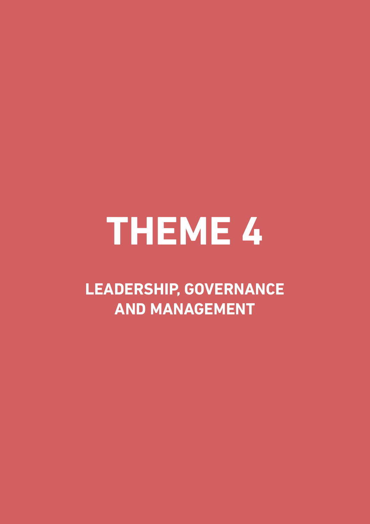# **THEME 4**

**LEADERSHIP, GOvERNANCE AND MANAGEMENT**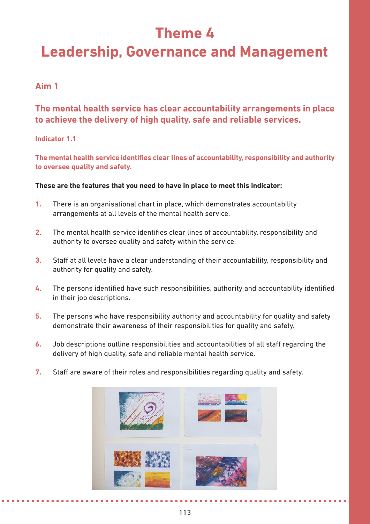# **Theme 4**

# **Leadership, Governance and Management**

# **Aim 1**

# **The mental health service has clear accountability arrangements in place to achieve the delivery of high quality, safe and reliable services.**

#### **Indicator 1.1**

**The mental health service identifies clear lines of accountability, responsibility and authority to oversee quality and safety.** 

- **1.** There is an organisational chart in place, which demonstrates accountability arrangements at all levels of the mental health service.
- **2.** The mental health service identifies clear lines of accountability, responsibility and authority to oversee quality and safety within the service.
- **3.** Staff at all levels have a clear understanding of their accountability, responsibility and authority for quality and safety.
- **4.** The persons identified have such responsibilities, authority and accountability identified in their job descriptions.
- **5.** The persons who have responsibility authority and accountability for quality and safety demonstrate their awareness of their responsibilities for quality and safety.
- **6.** Job descriptions outline responsibilities and accountabilities of all staff regarding the delivery of high quality, safe and reliable mental health service.
- **7.** Staff are aware of their roles and responsibilities regarding quality and safety.

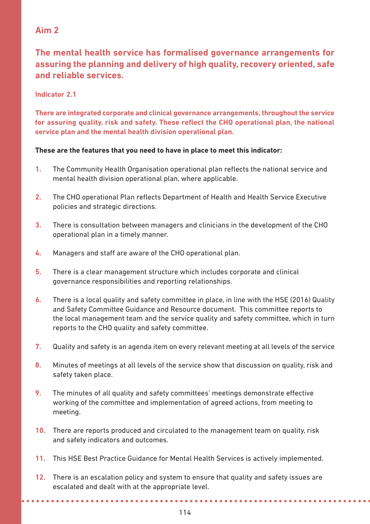# **The mental health service has formalised governance arrangements for assuring the planning and delivery of high quality, recovery oriented, safe and reliable services.**

#### **Indicator 2.1**

**There are integrated corporate and clinical governance arrangements, throughout the service for assuring quality, risk and safety. These reflect the CHO operational plan, the national service plan and the mental health division operational plan.** 

#### **These are the features that you need to have in place to meet this indicator:**

- **1.** The Community Health Organisation operational plan reflects the national service and mental health division operational plan, where applicable.
- **2.** The CHO operational Plan reflects Department of Health and Health Service Executive policies and strategic directions.
- **3.** There is consultation between managers and clinicians in the development of the CHO operational plan in a timely manner.
- **4.** Managers and staff are aware of the CHO operational plan.
- **5.** There is a clear management structure which includes corporate and clinical governance responsibilities and reporting relationships.
- **6.** There is a local quality and safety committee in place, in line with the HSE (2016) Quality and Safety Committee Guidance and Resource document. This committee reports to the local management team and the service quality and safety committee, which in turn reports to the CHO quality and safety committee.
- **7.** Quality and safety is an agenda item on every relevant meeting at all levels of the service
- **8.** Minutes of meetings at all levels of the service show that discussion on quality, risk and safety taken place.
- **9.** The minutes of all quality and safety committees' meetings demonstrate effective working of the committee and implementation of agreed actions, from meeting to meeting.
- **10.** There are reports produced and circulated to the management team on quality, risk and safety indicators and outcomes.
- **11.** This HSE Best Practice Guidance for Mental Health Services is actively implemented.
- **12.** There is an escalation policy and system to ensure that quality and safety issues are escalated and dealt with at the appropriate level.

**\*\*\*\*\*\*\*\*\*\*\*\*\*\*\***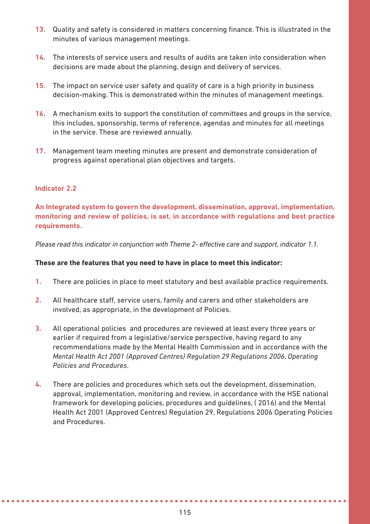- **13.** Quality and safety is considered in matters concerning finance. This is illustrated in the minutes of various management meetings.
- **14.** The interests of service users and results of audits are taken into consideration when decisions are made about the planning, design and delivery of services.
- **15.** The impact on service user safety and quality of care is a high priority in business decision-making. This is demonstrated within the minutes of management meetings.
- **16.** A mechanism exits to support the constitution of committees and groups in the service, this includes, sponsorship, terms of reference, agendas and minutes for all meetings in the service. These are reviewed annually.
- **17.** Management team meeting minutes are present and demonstrate consideration of progress against operational plan objectives and targets.

#### **Indicator 2.2**

**An Integrated system to govern the development, dissemination, approval, implementation, monitoring and review of policies, is set, in accordance with regulations and best practice requirements.** 

*Please read this indicator in conjunction with Theme 2- effective care and support, indicator 1.1.*

#### **These are the features that you need to have in place to meet this indicator:**

- **1.** There are policies in place to meet statutory and best available practice requirements.
- **2.** All healthcare staff, service users, family and carers and other stakeholders are involved, as appropriate, in the development of Policies.
- **3.** All operational policies and procedures are reviewed at least every three years or earlier if required from a legislative/service perspective, having regard to any recommendations made by the Mental Health Commission and in accordance with the *Mental Health Act 2001 (Approved Centres) Regulation 29 Regulations 2006, Operating Policies and Procedures*.
- **4.** There are policies and procedures which sets out the development, dissemination, approval, implementation, monitoring and review, in accordance with the HSE national framework for developing policies, procedures and guidelines, ( 2016) and the Mental Health Act 2001 (Approved Centres) Regulation 29, Regulations 2006 Operating Policies and Procedures.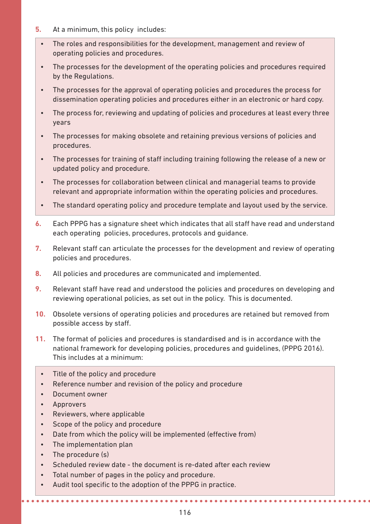- **5.** At a minimum, this policy includes:
	- The roles and responsibilities for the development, management and review of operating policies and procedures.
	- The processes for the development of the operating policies and procedures required by the Regulations.
	- The processes for the approval of operating policies and procedures the process for dissemination operating policies and procedures either in an electronic or hard copy.
	- The process for, reviewing and updating of policies and procedures at least every three years
	- The processes for making obsolete and retaining previous versions of policies and procedures.
	- The processes for training of staff including training following the release of a new or updated policy and procedure.
	- The processes for collaboration between clinical and managerial teams to provide relevant and appropriate information within the operating policies and procedures.
	- The standard operating policy and procedure template and layout used by the service.
- **6.** Each PPPG has a signature sheet which indicates that all staff have read and understand each operating policies, procedures, protocols and guidance.
- **7.** Relevant staff can articulate the processes for the development and review of operating policies and procedures.
- **8.** All policies and procedures are communicated and implemented.
- **9.** Relevant staff have read and understood the policies and procedures on developing and reviewing operational policies, as set out in the policy. This is documented.
- **10.** Obsolete versions of operating policies and procedures are retained but removed from possible access by staff.
- **11.** The format of policies and procedures is standardised and is in accordance with the national framework for developing policies, procedures and guidelines, (PPPG 2016). This includes at a minimum:
	- Title of the policy and procedure
	- Reference number and revision of the policy and procedure
	- Document owner
	- Approvers
	- Reviewers, where applicable
	- Scope of the policy and procedure
	- Date from which the policy will be implemented (effective from)
	- The implementation plan
	- The procedure (s)
	- Scheduled review date the document is re-dated after each review
	- Total number of pages in the policy and procedure.
	- Audit tool specific to the adoption of the PPPG in practice.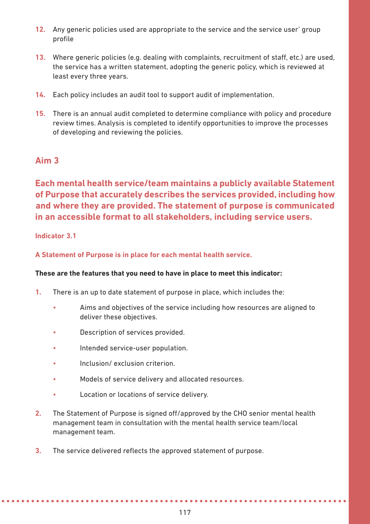- **12.** Any generic policies used are appropriate to the service and the service user' group profile
- **13.** Where generic policies (e.g. dealing with complaints, recruitment of staff, etc.) are used, the service has a written statement, adopting the generic policy, which is reviewed at least every three years.
- **14.** Each policy includes an audit tool to support audit of implementation.
- **15.** There is an annual audit completed to determine compliance with policy and procedure review times. Analysis is completed to identify opportunities to improve the processes of developing and reviewing the policies.

**Each mental health service/team maintains a publicly available Statement of Purpose that accurately describes the services provided, including how and where they are provided. The statement of purpose is communicated in an accessible format to all stakeholders, including service users.** 

#### **Indicator 3.1**

**A Statement of Purpose is in place for each mental health service.** 

- **1.** There is an up to date statement of purpose in place, which includes the:
	- Aims and objectives of the service including how resources are aligned to deliver these objectives.
	- Description of services provided.
	- Intended service-user population.
	- Inclusion/ exclusion criterion.
	- Models of service delivery and allocated resources.
	- Location or locations of service delivery.
- **2.** The Statement of Purpose is signed off/approved by the CHO senior mental health management team in consultation with the mental health service team/local management team.
- **3.** The service delivered reflects the approved statement of purpose.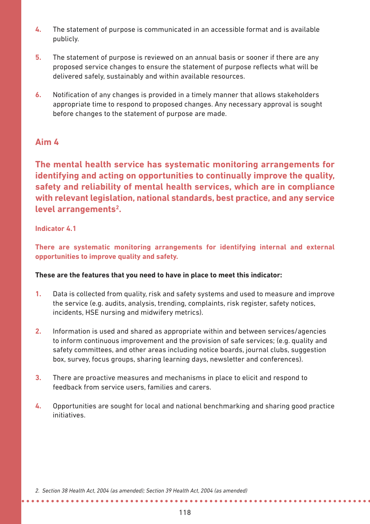- **4.** The statement of purpose is communicated in an accessible format and is available publicly.
- **5.** The statement of purpose is reviewed on an annual basis or sooner if there are any proposed service changes to ensure the statement of purpose reflects what will be delivered safely, sustainably and within available resources.
- **6.** Notification of any changes is provided in a timely manner that allows stakeholders appropriate time to respond to proposed changes. Any necessary approval is sought before changes to the statement of purpose are made.

**The mental health service has systematic monitoring arrangements for identifying and acting on opportunities to continually improve the quality, safety and reliability of mental health services, which are in compliance with relevant legislation, national standards, best practice, and any service level arrangements2.** 

#### **Indicator 4.1**

**There are systematic monitoring arrangements for identifying internal and external opportunities to improve quality and safety.** 

#### **These are the features that you need to have in place to meet this indicator:**

- **1.** Data is collected from quality, risk and safety systems and used to measure and improve the service (e.g. audits, analysis, trending, complaints, risk register, safety notices, incidents, HSE nursing and midwifery metrics).
- **2.** Information is used and shared as appropriate within and between services/agencies to inform continuous improvement and the provision of safe services; (e.g. quality and safety committees, and other areas including notice boards, journal clubs, suggestion box, survey, focus groups, sharing learning days, newsletter and conferences).
- **3.** There are proactive measures and mechanisms in place to elicit and respond to feedback from service users, families and carers.
- **4.** Opportunities are sought for local and national benchmarking and sharing good practice initiatives.

*2. Section 38 Health Act, 2004 (as amended); Section 39 Health Act, 2004 (as amended)*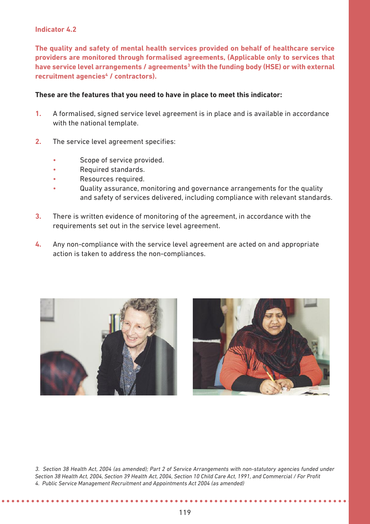#### **Indicator 4.2**

**The quality and safety of mental health services provided on behalf of healthcare service providers are monitored through formalised agreements, (Applicable only to services that** have service level arrangements / agreements<sup>3</sup> with the funding body (HSE) or with external **recruitment agencies4 / contractors).**

#### **These are the features that you need to have in place to meet this indicator:**

- **1.** A formalised, signed service level agreement is in place and is available in accordance with the national template.
- **2.** The service level agreement specifies:
	- Scope of service provided.
	- Required standards.
	- Resources required.
	- Quality assurance, monitoring and governance arrangements for the quality and safety of services delivered, including compliance with relevant standards.
- **3.** There is written evidence of monitoring of the agreement, in accordance with the requirements set out in the service level agreement.
- **4.** Any non-compliance with the service level agreement are acted on and appropriate action is taken to address the non-compliances.





*3. Section 38 Health Act, 2004 (as amended); Part 2 of Service Arrangements with non-statutory agencies funded under Section 38 Health Act, 2004, Section 39 Health Act, 2004, Section 10 Child Care Act, 1991, and Commercial / For Profit 4. Public Service Management Recruitment and Appointments Act 2004 (as amended)*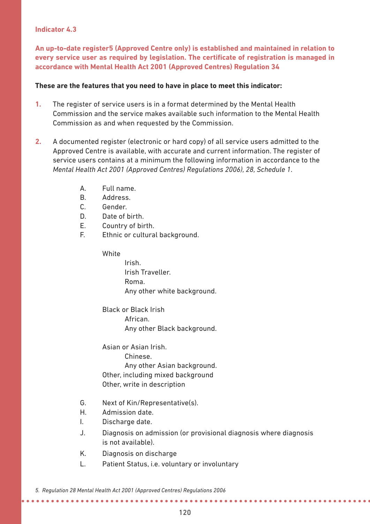#### **Indicator 4.3**

**An up-to-date register5 (Approved Centre only) is established and maintained in relation to every service user as required by legislation. The certificate of registration is managed in accordance with Mental Health Act 2001 (Approved Centres) Regulation 34** 

#### **These are the features that you need to have in place to meet this indicator:**

- **1.** The register of service users is in a format determined by the Mental Health Commission and the service makes available such information to the Mental Health Commission as and when requested by the Commission.
- **2.** A documented register (electronic or hard copy) of all service users admitted to the Approved Centre is available, with accurate and current information. The register of service users contains at a minimum the following information in accordance to the *Mental Health Act 2001 (Approved Centres) Regulations 2006), 28, Schedule 1*.
	- A. Full name.
	- B. Address.
	- C. Gender.
	- D. Date of birth.
	- E. Country of birth.
	- F. Ethnic or cultural background.

**White** 

Irish. Irish Traveller. Roma. Any other white background.

Black or Black Irish African. Any other Black background.

Asian or Asian Irish.

Chinese. Any other Asian background. Other, including mixed background Other, write in description

- G. Next of Kin/Representative(s).
- H. Admission date.
- I. Discharge date.
- J. Diagnosis on admission (or provisional diagnosis where diagnosis is not available).

*<u><u>AAAAAAAA</u>***</u>** 

- K. Diagnosis on discharge
- L. Patient Status, i.e. voluntary or involuntary

*5. Regulation 28 Mental Health Act 2001 (Approved Centres) Regulations 2006*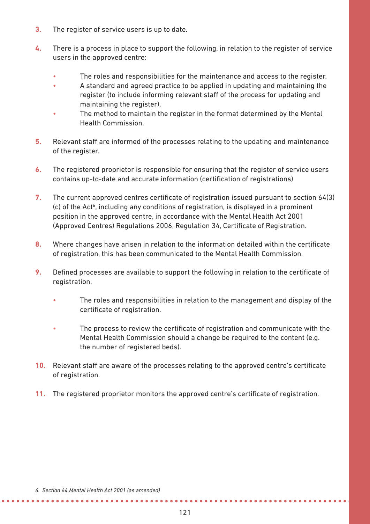- **3.** The register of service users is up to date.
- **4.** There is a process in place to support the following, in relation to the register of service users in the approved centre:
	- The roles and responsibilities for the maintenance and access to the register.
	- A standard and agreed practice to be applied in updating and maintaining the register (to include informing relevant staff of the process for updating and maintaining the register).
	- The method to maintain the register in the format determined by the Mental Health Commission.
- **5.** Relevant staff are informed of the processes relating to the updating and maintenance of the register.
- **6.** The registered proprietor is responsible for ensuring that the register of service users contains up-to-date and accurate information (certification of registrations)
- **7.** The current approved centres certificate of registration issued pursuant to section 64(3) (c) of the Act<sup>6</sup>, including any conditions of registration, is displayed in a prominent position in the approved centre, in accordance with the Mental Health Act 2001 (Approved Centres) Regulations 2006, Regulation 34, Certificate of Registration.
- **8.** Where changes have arisen in relation to the information detailed within the certificate of registration, this has been communicated to the Mental Health Commission.
- **9.** Defined processes are available to support the following in relation to the certificate of registration.
	- The roles and responsibilities in relation to the management and display of the certificate of registration.
	- The process to review the certificate of registration and communicate with the Mental Health Commission should a change be required to the content (e.g. the number of registered beds).
- **10.** Relevant staff are aware of the processes relating to the approved centre's certificate of registration.
- **11.** The registered proprietor monitors the approved centre's certificate of registration.

*6. Section 64 Mental Health Act 2001 (as amended)*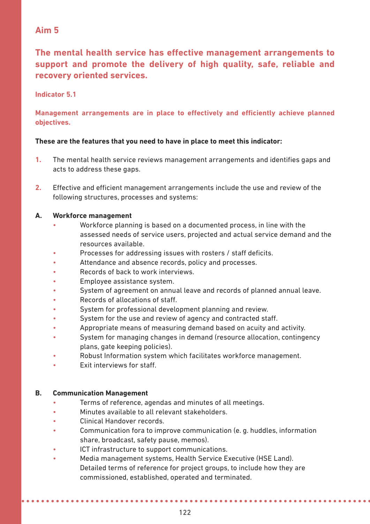**The mental health service has effective management arrangements to support and promote the delivery of high quality, safe, reliable and recovery oriented services.**

#### **Indicator 5.1**

**Management arrangements are in place to effectively and efficiently achieve planned objectives.** 

#### **These are the features that you need to have in place to meet this indicator:**

- **1.** The mental health service reviews management arrangements and identifies gaps and acts to address these gaps.
- **2.** Effective and efficient management arrangements include the use and review of the following structures, processes and systems:

#### **A. Workforce management**

- Workforce planning is based on a documented process, in line with the assessed needs of service users, projected and actual service demand and the resources available.
- Processes for addressing issues with rosters / staff deficits.
- Attendance and absence records, policy and processes.
- Records of back to work interviews.
- Employee assistance system.
- System of agreement on annual leave and records of planned annual leave.
- Records of allocations of staff.
- System for professional development planning and review.
- System for the use and review of agency and contracted staff.
- Appropriate means of measuring demand based on acuity and activity.
- System for managing changes in demand (resource allocation, contingency plans, gate keeping policies).
- Robust Information system which facilitates workforce management.
- Exit interviews for staff.

#### **B. Communication Management**

- Terms of reference, agendas and minutes of all meetings.
- Minutes available to all relevant stakeholders.
- Clinical Handover records.
- Communication fora to improve communication (e. g. huddles, information share, broadcast, safety pause, memos).
- ICT infrastructure to support communications.
- Media management systems, Health Service Executive (HSE Land). Detailed terms of reference for project groups, to include how they are commissioned, established, operated and terminated.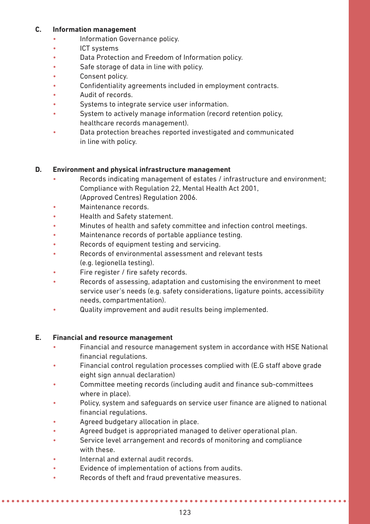#### **C. Information management**

- Information Governance policy.
- ICT systems
- Data Protection and Freedom of Information policy.
- Safe storage of data in line with policy.
- Consent policy.
- Confidentiality agreements included in employment contracts.
- Audit of records.
- Systems to integrate service user information.
- System to actively manage information (record retention policy, healthcare records management).
- Data protection breaches reported investigated and communicated in line with policy.

#### **D. Environment and physical infrastructure management**

- Records indicating management of estates / infrastructure and environment; Compliance with Regulation 22, Mental Health Act 2001, (Approved Centres) Regulation 2006.
- Maintenance records.
- Health and Safety statement.
- Minutes of health and safety committee and infection control meetings.
- Maintenance records of portable appliance testing.
- Records of equipment testing and servicing.
- Records of environmental assessment and relevant tests (e.g. legionella testing).
- Fire register / fire safety records.
- Records of assessing, adaptation and customising the environment to meet service user's needs (e.g. safety considerations, ligature points, accessibility needs, compartmentation).
- Quality improvement and audit results being implemented.

#### **E. Financial and resource management**

- Financial and resource management system in accordance with HSE National financial regulations.
- Financial control regulation processes complied with (E.G staff above grade eight sign annual declaration)
- Committee meeting records (including audit and finance sub-committees where in place).
- Policy, system and safeguards on service user finance are aligned to national financial regulations.
- Agreed budgetary allocation in place.
- Agreed budget is appropriated managed to deliver operational plan.
- Service level arrangement and records of monitoring and compliance with these.
- Internal and external audit records.
- Evidence of implementation of actions from audits.
- Records of theft and fraud preventative measures.

*<u>AAAAAAAAAAAAA</u>*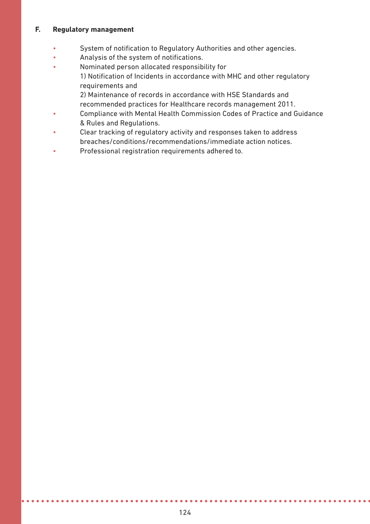#### **F. Regulatory management**

- System of notification to Regulatory Authorities and other agencies.
- Analysis of the system of notifications.
- Nominated person allocated responsibility for 1) Notification of Incidents in accordance with MHC and other regulatory requirements and 2) Maintenance of records in accordance with HSE Standards and
	- recommended practices for Healthcare records management 2011.
- Compliance with Mental Health Commission Codes of Practice and Guidance & Rules and Regulations.
- Clear tracking of regulatory activity and responses taken to address breaches/conditions/recommendations/immediate action notices.
- Professional registration requirements adhered to.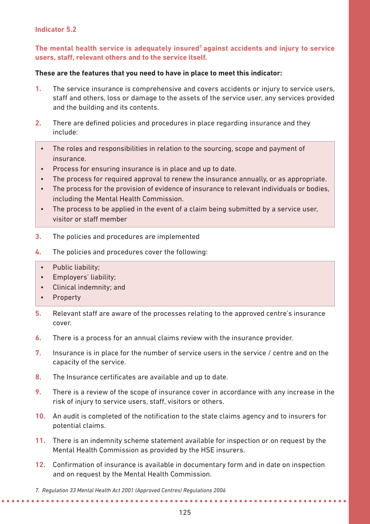#### **Indicator 5.2**

#### **The mental health service is adequately insured7 against accidents and injury to service users, staff, relevant others and to the service itself.**

- **1.** The service insurance is comprehensive and covers accidents or injury to service users, staff and others, loss or damage to the assets of the service user, any services provided and the building and its contents.
- **2.** There are defined policies and procedures in place regarding insurance and they include:
	- The roles and responsibilities in relation to the sourcing, scope and payment of insurance.
	- Process for ensuring insurance is in place and up to date.
	- The process for required approval to renew the insurance annually, or as appropriate.
	- The process for the provision of evidence of insurance to relevant individuals or bodies, including the Mental Health Commission.
	- The process to be applied in the event of a claim being submitted by a service user, visitor or staff member
- **3.** The policies and procedures are implemented
- **4.** The policies and procedures cover the following:
	- Public liability;
	- Employers' liability;
	- Clinical indemnity; and
	- Property
- **5.** Relevant staff are aware of the processes relating to the approved centre's insurance cover.
- **6.** There is a process for an annual claims review with the insurance provider.
- **7.** Insurance is in place for the number of service users in the service / centre and on the capacity of the service.
- **8.** The Insurance certificates are available and up to date.
- **9.** There is a review of the scope of insurance cover in accordance with any increase in the risk of injury to service users, staff, visitors or others.
- **10.** An audit is completed of the notification to the state claims agency and to insurers for potential claims.
- **11.** There is an indemnity scheme statement available for inspection or on request by the Mental Health Commission as provided by the HSE insurers.
- **12.** Confirmation of insurance is available in documentary form and in date on inspection and on request by the Mental Health Commission.

*<sup>7.</sup> Regulation 33 Mental Health Act 2001 (Approved Centres) Regulations 2006* **\*\*\*\*\*\*\*\*\*\*\*\*\*\*\*\*\*\*\***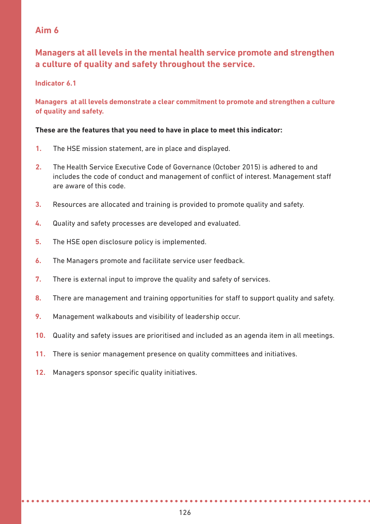# **Managers at all levels in the mental health service promote and strengthen a culture of quality and safety throughout the service.**

#### **Indicator 6.1**

#### **Managers at all levels demonstrate a clear commitment to promote and strengthen a culture of quality and safety.**

- **1.** The HSE mission statement, are in place and displayed.
- **2.** The Health Service Executive Code of Governance (October 2015) is adhered to and includes the code of conduct and management of conflict of interest. Management staff are aware of this code.
- **3.** Resources are allocated and training is provided to promote quality and safety.
- **4.** Quality and safety processes are developed and evaluated.
- **5.** The HSE open disclosure policy is implemented.
- **6.** The Managers promote and facilitate service user feedback.
- **7.** There is external input to improve the quality and safety of services.
- **8.** There are management and training opportunities for staff to support quality and safety.
- **9.** Management walkabouts and visibility of leadership occur.
- **10.** Quality and safety issues are prioritised and included as an agenda item in all meetings.
- **11.** There is senior management presence on quality committees and initiatives.
- **12.** Managers sponsor specific quality initiatives.